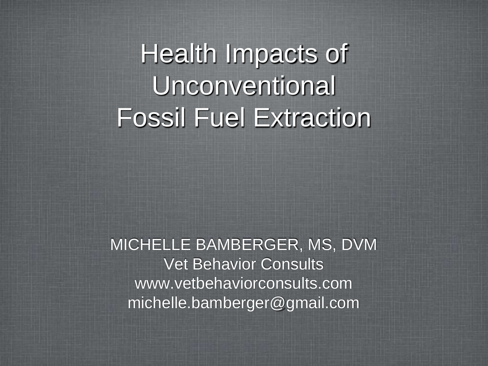Health Impacts of Unconventional Fossil Fuel Extraction

MICHELLE BAMBERGER, MS, DVM Vet Behavior Consults www.vetbehaviorconsults.com michelle.bamberger@gmail.com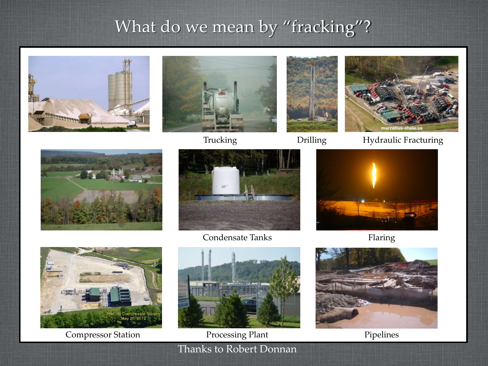## What do we mean by "fracking"?















Condensate Tanks









Thanks to Robert Donnan Compressor Station Processing Plant



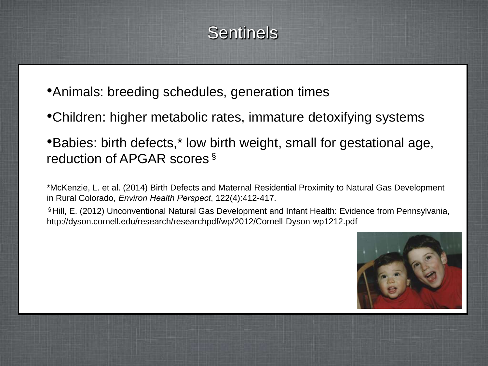## **Sentinels**

- •Animals: breeding schedules, generation times
- •Children: higher metabolic rates, immature detoxifying systems
- •Babies: birth defects,\* low birth weight, small for gestational age, reduction of APGAR scores<sup>§</sup>

\*McKenzie, L. et al. (2014) Birth Defects and Maternal Residential Proximity to Natural Gas Development in Rural Colorado, *Environ Health Perspect*, 122(4):412-417.

§Hill, E. (2012) Unconventional Natural Gas Development and Infant Health: Evidence from Pennsylvania, http://dyson.cornell.edu/research/researchpdf/wp/2012/Cornell-Dyson-wp1212.pdf

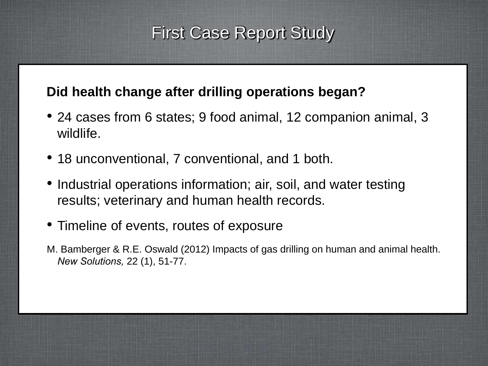### First Case Report Study

#### **Did health change after drilling operations began?**

- 24 cases from 6 states; 9 food animal, 12 companion animal, 3 wildlife.
- 18 unconventional, 7 conventional, and 1 both.
- Industrial operations information; air, soil, and water testing results; veterinary and human health records.
- Timeline of events, routes of exposure
- M. Bamberger & R.E. Oswald (2012) Impacts of gas drilling on human and animal health. *New Solutions,* 22 (1), 51-77.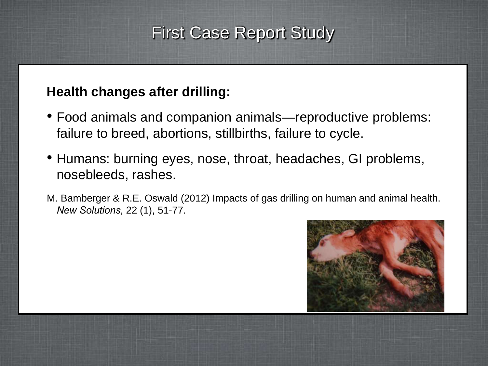## First Case Report Study

#### **Health changes after drilling:**

- Food animals and companion animals—reproductive problems: failure to breed, abortions, stillbirths, failure to cycle.
- Humans: burning eyes, nose, throat, headaches, GI problems, nosebleeds, rashes.
- M. Bamberger & R.E. Oswald (2012) Impacts of gas drilling on human and animal health. *New Solutions,* 22 (1), 51-77.

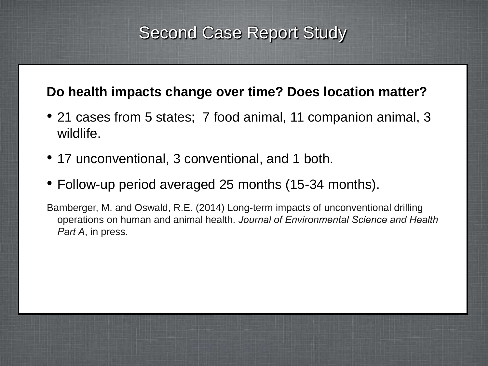## Second Case Report Study

#### **Do health impacts change over time? Does location matter?**

- 21 cases from 5 states; 7 food animal, 11 companion animal, 3 wildlife.
- 17 unconventional, 3 conventional, and 1 both.
- Follow-up period averaged 25 months (15-34 months).

Bamberger, M. and Oswald, R.E. (2014) Long-term impacts of unconventional drilling operations on human and animal health. *Journal of Environmental Science and Health Part A*, in press.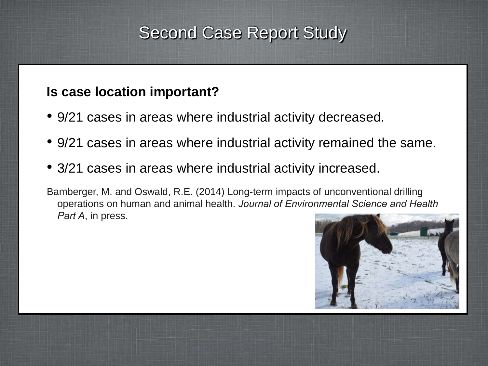## Second Case Report Study

#### **Is case location important?**

- 9/21 cases in areas where industrial activity decreased.
- 9/21 cases in areas where industrial activity remained the same.
- 3/21 cases in areas where industrial activity increased.
- Bamberger, M. and Oswald, R.E. (2014) Long-term impacts of unconventional drilling operations on human and animal health. *Journal of Environmental Science and Health Part A*, in press.

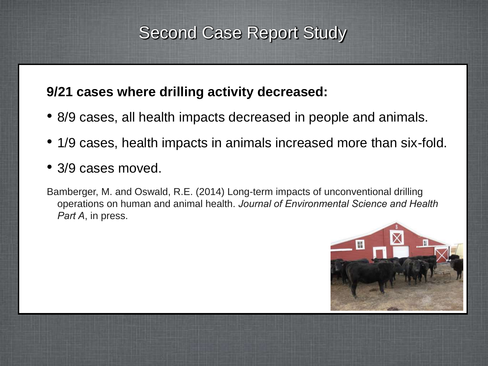## Second Case Report Study

#### **9/21 cases where drilling activity decreased:**

- 8/9 cases, all health impacts decreased in people and animals.
- 1/9 cases, health impacts in animals increased more than six-fold.
- 3/9 cases moved.
- Bamberger, M. and Oswald, R.E. (2014) Long-term impacts of unconventional drilling operations on human and animal health. *Journal of Environmental Science and Health Part A*, in press.

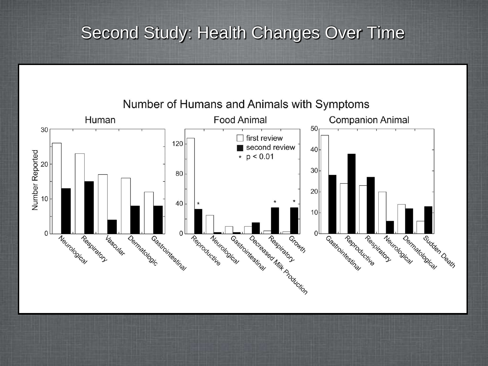## Second Study: Health Changes Over Time



Number of Humans and Animals with Symptoms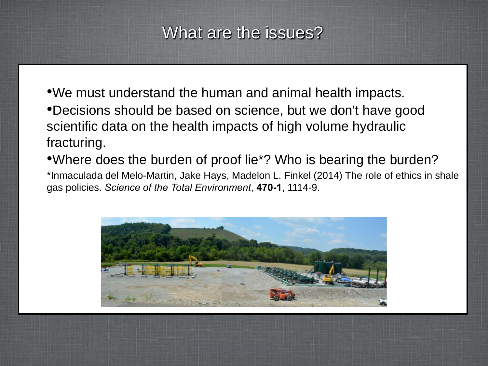## What are the issues?

•We must understand the human and animal health impacts. •Decisions should be based on science, but we don't have good scientific data on the health impacts of high volume hydraulic fracturing.

•Where does the burden of proof lie\*? Who is bearing the burden? \*Inmaculada del Melo-Martin, Jake Hays, Madelon L. Finkel (2014) The role of ethics in shale gas policies. *Science of the Total Environment*, **470-1**, 1114-9.

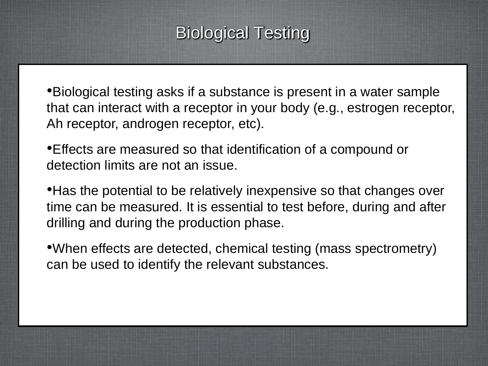## Biological Testing

•Biological testing asks if a substance is present in a water sample that can interact with a receptor in your body (e.g., estrogen receptor, Ah receptor, androgen receptor, etc).

•Effects are measured so that identification of a compound or detection limits are not an issue.

• Has the potential to be relatively inexpensive so that changes over time can be measured. It is essential to test before, during and after drilling and during the production phase.

•When effects are detected, chemical testing (mass spectrometry) can be used to identify the relevant substances.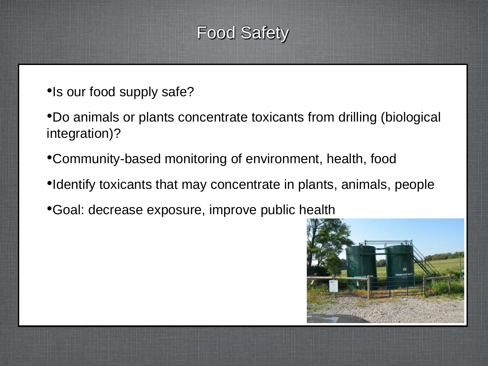## Food Safety

- •Is our food supply safe?
- •Do animals or plants concentrate toxicants from drilling (biological integration)?
- •Community-based monitoring of environment, health, food
- •Identify toxicants that may concentrate in plants, animals, people
- •Goal: decrease exposure, improve public health